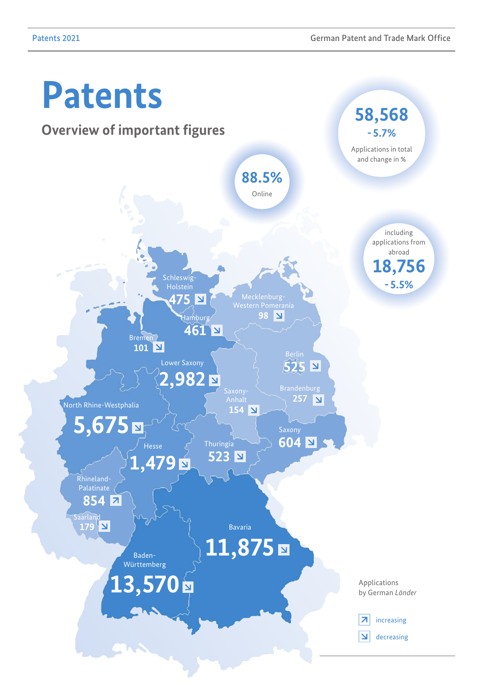